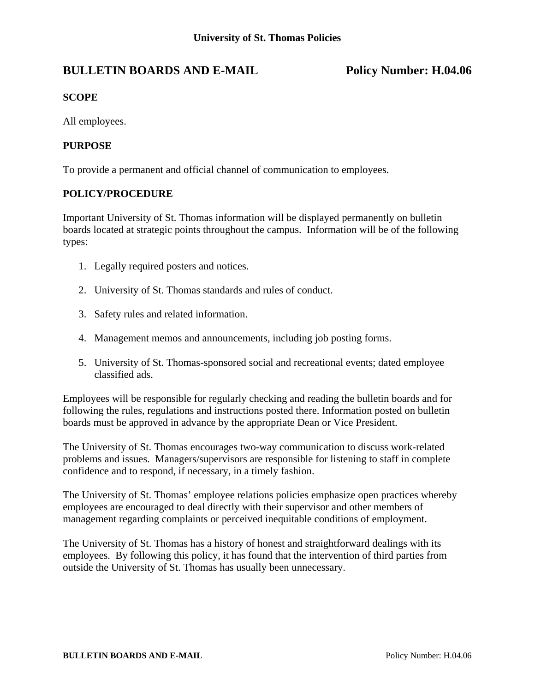# **BULLETIN BOARDS AND E-MAIL Policy Number: H.04.06**

## **SCOPE**

All employees.

### **PURPOSE**

To provide a permanent and official channel of communication to employees.

### **POLICY/PROCEDURE**

Important University of St. Thomas information will be displayed permanently on bulletin boards located at strategic points throughout the campus. Information will be of the following types:

- 1. Legally required posters and notices.
- 2. University of St. Thomas standards and rules of conduct.
- 3. Safety rules and related information.
- 4. Management memos and announcements, including job posting forms.
- 5. University of St. Thomas-sponsored social and recreational events; dated employee classified ads.

Employees will be responsible for regularly checking and reading the bulletin boards and for following the rules, regulations and instructions posted there. Information posted on bulletin boards must be approved in advance by the appropriate Dean or Vice President.

The University of St. Thomas encourages two-way communication to discuss work-related problems and issues. Managers/supervisors are responsible for listening to staff in complete confidence and to respond, if necessary, in a timely fashion.

The University of St. Thomas' employee relations policies emphasize open practices whereby employees are encouraged to deal directly with their supervisor and other members of management regarding complaints or perceived inequitable conditions of employment.

The University of St. Thomas has a history of honest and straightforward dealings with its employees. By following this policy, it has found that the intervention of third parties from outside the University of St. Thomas has usually been unnecessary.